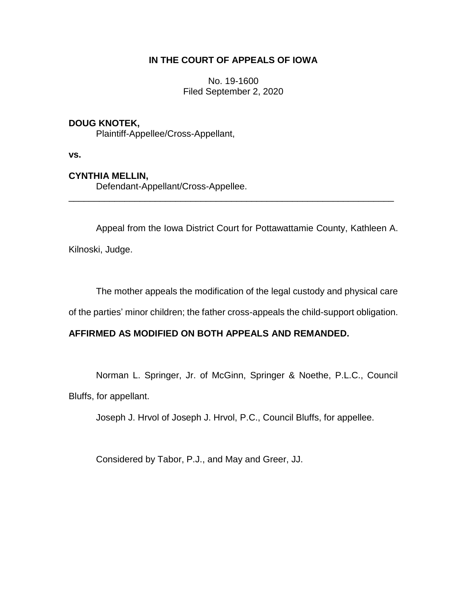## **IN THE COURT OF APPEALS OF IOWA**

No. 19-1600 Filed September 2, 2020

## **DOUG KNOTEK,**

Plaintiff-Appellee/Cross-Appellant,

**vs.**

## **CYNTHIA MELLIN,**

Defendant-Appellant/Cross-Appellee.

Appeal from the Iowa District Court for Pottawattamie County, Kathleen A.

\_\_\_\_\_\_\_\_\_\_\_\_\_\_\_\_\_\_\_\_\_\_\_\_\_\_\_\_\_\_\_\_\_\_\_\_\_\_\_\_\_\_\_\_\_\_\_\_\_\_\_\_\_\_\_\_\_\_\_\_\_\_\_\_

Kilnoski, Judge.

The mother appeals the modification of the legal custody and physical care

of the parties' minor children; the father cross-appeals the child-support obligation.

## **AFFIRMED AS MODIFIED ON BOTH APPEALS AND REMANDED.**

Norman L. Springer, Jr. of McGinn, Springer & Noethe, P.L.C., Council Bluffs, for appellant.

Joseph J. Hrvol of Joseph J. Hrvol, P.C., Council Bluffs, for appellee.

Considered by Tabor, P.J., and May and Greer, JJ.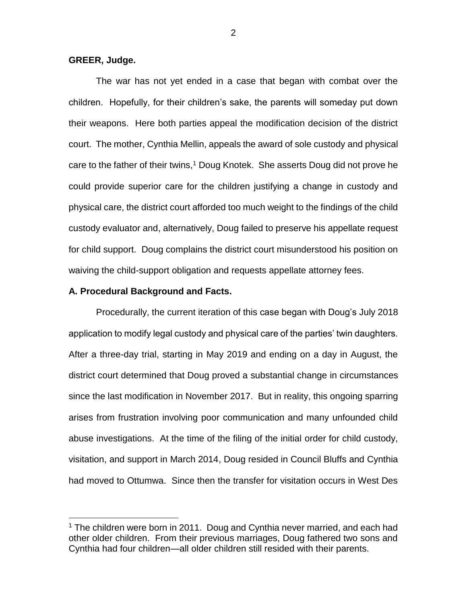#### **GREER, Judge.**

 $\overline{a}$ 

The war has not yet ended in a case that began with combat over the children. Hopefully, for their children's sake, the parents will someday put down their weapons. Here both parties appeal the modification decision of the district court. The mother, Cynthia Mellin, appeals the award of sole custody and physical care to the father of their twins,<sup>1</sup> Doug Knotek. She asserts Doug did not prove he could provide superior care for the children justifying a change in custody and physical care, the district court afforded too much weight to the findings of the child custody evaluator and, alternatively, Doug failed to preserve his appellate request for child support. Doug complains the district court misunderstood his position on waiving the child-support obligation and requests appellate attorney fees.

#### **A. Procedural Background and Facts.**

Procedurally, the current iteration of this case began with Doug's July 2018 application to modify legal custody and physical care of the parties' twin daughters. After a three-day trial, starting in May 2019 and ending on a day in August, the district court determined that Doug proved a substantial change in circumstances since the last modification in November 2017. But in reality, this ongoing sparring arises from frustration involving poor communication and many unfounded child abuse investigations. At the time of the filing of the initial order for child custody, visitation, and support in March 2014, Doug resided in Council Bluffs and Cynthia had moved to Ottumwa. Since then the transfer for visitation occurs in West Des

 $1$  The children were born in 2011. Doug and Cynthia never married, and each had other older children. From their previous marriages, Doug fathered two sons and Cynthia had four children—all older children still resided with their parents.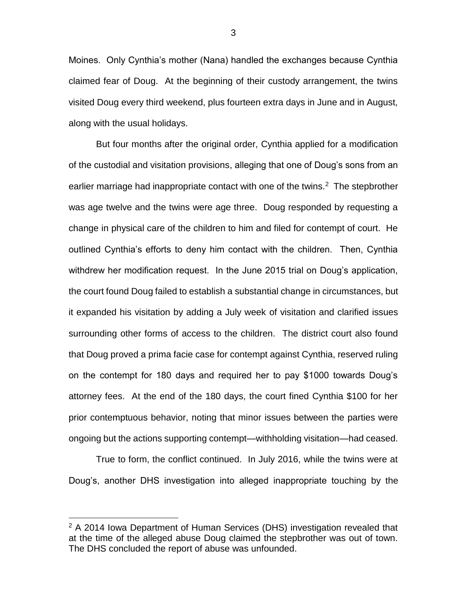Moines. Only Cynthia's mother (Nana) handled the exchanges because Cynthia claimed fear of Doug. At the beginning of their custody arrangement, the twins visited Doug every third weekend, plus fourteen extra days in June and in August, along with the usual holidays.

But four months after the original order, Cynthia applied for a modification of the custodial and visitation provisions, alleging that one of Doug's sons from an earlier marriage had inappropriate contact with one of the twins.<sup>2</sup> The stepbrother was age twelve and the twins were age three. Doug responded by requesting a change in physical care of the children to him and filed for contempt of court. He outlined Cynthia's efforts to deny him contact with the children. Then, Cynthia withdrew her modification request. In the June 2015 trial on Doug's application, the court found Doug failed to establish a substantial change in circumstances, but it expanded his visitation by adding a July week of visitation and clarified issues surrounding other forms of access to the children. The district court also found that Doug proved a prima facie case for contempt against Cynthia, reserved ruling on the contempt for 180 days and required her to pay \$1000 towards Doug's attorney fees. At the end of the 180 days, the court fined Cynthia \$100 for her prior contemptuous behavior, noting that minor issues between the parties were ongoing but the actions supporting contempt—withholding visitation—had ceased.

True to form, the conflict continued. In July 2016, while the twins were at Doug's, another DHS investigation into alleged inappropriate touching by the

 $\overline{a}$ 

3

 $2$  A 2014 Iowa Department of Human Services (DHS) investigation revealed that at the time of the alleged abuse Doug claimed the stepbrother was out of town. The DHS concluded the report of abuse was unfounded.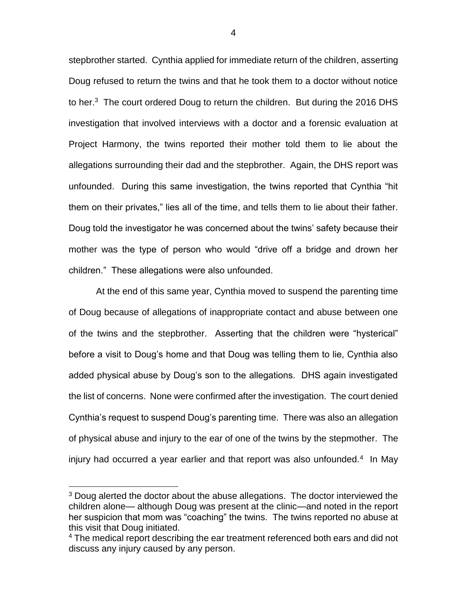stepbrother started. Cynthia applied for immediate return of the children, asserting Doug refused to return the twins and that he took them to a doctor without notice to her. $3$  The court ordered Doug to return the children. But during the 2016 DHS investigation that involved interviews with a doctor and a forensic evaluation at Project Harmony, the twins reported their mother told them to lie about the allegations surrounding their dad and the stepbrother. Again, the DHS report was unfounded. During this same investigation, the twins reported that Cynthia "hit them on their privates," lies all of the time, and tells them to lie about their father. Doug told the investigator he was concerned about the twins' safety because their mother was the type of person who would "drive off a bridge and drown her children." These allegations were also unfounded.

At the end of this same year, Cynthia moved to suspend the parenting time of Doug because of allegations of inappropriate contact and abuse between one of the twins and the stepbrother. Asserting that the children were "hysterical" before a visit to Doug's home and that Doug was telling them to lie, Cynthia also added physical abuse by Doug's son to the allegations. DHS again investigated the list of concerns. None were confirmed after the investigation. The court denied Cynthia's request to suspend Doug's parenting time. There was also an allegation of physical abuse and injury to the ear of one of the twins by the stepmother. The injury had occurred a year earlier and that report was also unfounded.<sup>4</sup> In May

<sup>&</sup>lt;sup>3</sup> Doug alerted the doctor about the abuse allegations. The doctor interviewed the children alone— although Doug was present at the clinic—and noted in the report her suspicion that mom was "coaching" the twins. The twins reported no abuse at this visit that Doug initiated.

<sup>&</sup>lt;sup>4</sup> The medical report describing the ear treatment referenced both ears and did not discuss any injury caused by any person.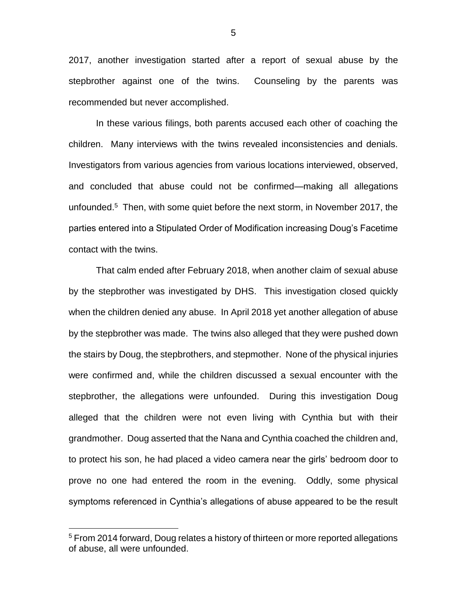2017, another investigation started after a report of sexual abuse by the stepbrother against one of the twins. Counseling by the parents was recommended but never accomplished.

In these various filings, both parents accused each other of coaching the children. Many interviews with the twins revealed inconsistencies and denials. Investigators from various agencies from various locations interviewed, observed, and concluded that abuse could not be confirmed—making all allegations unfounded.<sup>5</sup> Then, with some quiet before the next storm, in November 2017, the parties entered into a Stipulated Order of Modification increasing Doug's Facetime contact with the twins.

That calm ended after February 2018, when another claim of sexual abuse by the stepbrother was investigated by DHS. This investigation closed quickly when the children denied any abuse. In April 2018 yet another allegation of abuse by the stepbrother was made. The twins also alleged that they were pushed down the stairs by Doug, the stepbrothers, and stepmother. None of the physical injuries were confirmed and, while the children discussed a sexual encounter with the stepbrother, the allegations were unfounded. During this investigation Doug alleged that the children were not even living with Cynthia but with their grandmother. Doug asserted that the Nana and Cynthia coached the children and, to protect his son, he had placed a video camera near the girls' bedroom door to prove no one had entered the room in the evening. Oddly, some physical symptoms referenced in Cynthia's allegations of abuse appeared to be the result

 $\overline{a}$ 

5

<sup>&</sup>lt;sup>5</sup> From 2014 forward, Doug relates a history of thirteen or more reported allegations of abuse, all were unfounded.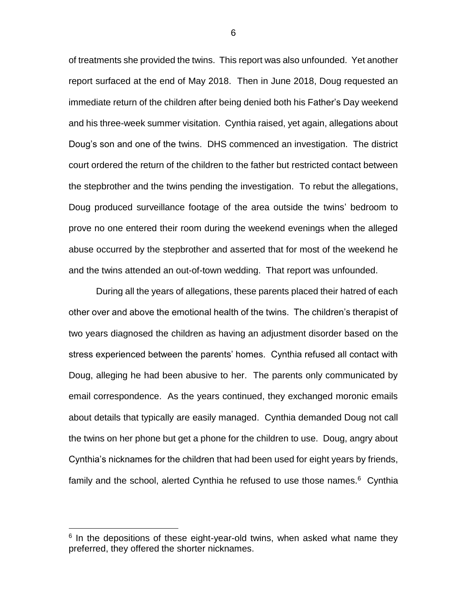of treatments she provided the twins. This report was also unfounded. Yet another report surfaced at the end of May 2018. Then in June 2018, Doug requested an immediate return of the children after being denied both his Father's Day weekend and his three-week summer visitation. Cynthia raised, yet again, allegations about Doug's son and one of the twins. DHS commenced an investigation. The district court ordered the return of the children to the father but restricted contact between the stepbrother and the twins pending the investigation. To rebut the allegations, Doug produced surveillance footage of the area outside the twins' bedroom to prove no one entered their room during the weekend evenings when the alleged abuse occurred by the stepbrother and asserted that for most of the weekend he and the twins attended an out-of-town wedding. That report was unfounded.

During all the years of allegations, these parents placed their hatred of each other over and above the emotional health of the twins. The children's therapist of two years diagnosed the children as having an adjustment disorder based on the stress experienced between the parents' homes. Cynthia refused all contact with Doug, alleging he had been abusive to her. The parents only communicated by email correspondence. As the years continued, they exchanged moronic emails about details that typically are easily managed. Cynthia demanded Doug not call the twins on her phone but get a phone for the children to use. Doug, angry about Cynthia's nicknames for the children that had been used for eight years by friends, family and the school, alerted Cynthia he refused to use those names. $6$  Cynthia

 $\overline{a}$ 

6

<sup>&</sup>lt;sup>6</sup> In the depositions of these eight-year-old twins, when asked what name they preferred, they offered the shorter nicknames.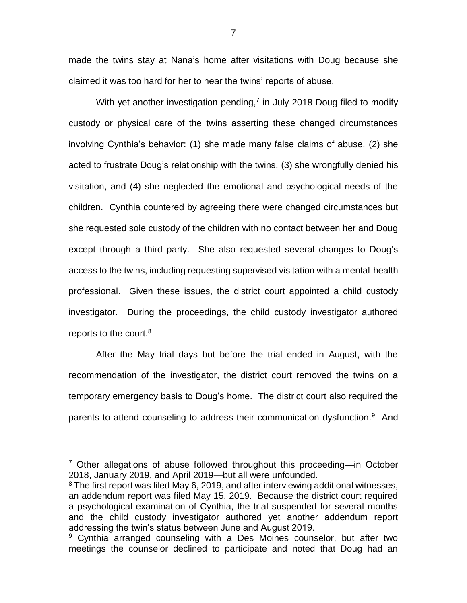made the twins stay at Nana's home after visitations with Doug because she claimed it was too hard for her to hear the twins' reports of abuse.

With yet another investigation pending,<sup>7</sup> in July 2018 Doug filed to modify custody or physical care of the twins asserting these changed circumstances involving Cynthia's behavior: (1) she made many false claims of abuse, (2) she acted to frustrate Doug's relationship with the twins, (3) she wrongfully denied his visitation, and (4) she neglected the emotional and psychological needs of the children. Cynthia countered by agreeing there were changed circumstances but she requested sole custody of the children with no contact between her and Doug except through a third party. She also requested several changes to Doug's access to the twins, including requesting supervised visitation with a mental-health professional. Given these issues, the district court appointed a child custody investigator. During the proceedings, the child custody investigator authored reports to the court.<sup>8</sup>

After the May trial days but before the trial ended in August, with the recommendation of the investigator, the district court removed the twins on a temporary emergency basis to Doug's home. The district court also required the parents to attend counseling to address their communication dysfunction.<sup>9</sup> And

 $7$  Other allegations of abuse followed throughout this proceeding—in October 2018, January 2019, and April 2019—but all were unfounded.

<sup>&</sup>lt;sup>8</sup> The first report was filed May 6, 2019, and after interviewing additional witnesses, an addendum report was filed May 15, 2019. Because the district court required a psychological examination of Cynthia, the trial suspended for several months and the child custody investigator authored yet another addendum report addressing the twin's status between June and August 2019.

<sup>&</sup>lt;sup>9</sup> Cynthia arranged counseling with a Des Moines counselor, but after two meetings the counselor declined to participate and noted that Doug had an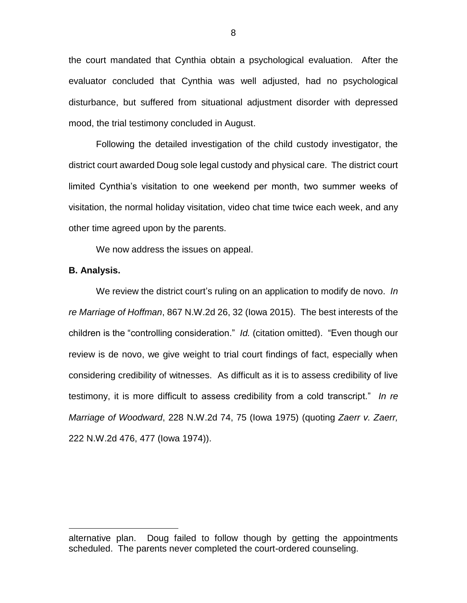the court mandated that Cynthia obtain a psychological evaluation. After the evaluator concluded that Cynthia was well adjusted, had no psychological disturbance, but suffered from situational adjustment disorder with depressed mood, the trial testimony concluded in August.

Following the detailed investigation of the child custody investigator, the district court awarded Doug sole legal custody and physical care. The district court limited Cynthia's visitation to one weekend per month, two summer weeks of visitation, the normal holiday visitation, video chat time twice each week, and any other time agreed upon by the parents.

We now address the issues on appeal.

#### **B. Analysis.**

 $\overline{a}$ 

We review the district court's ruling on an application to modify de novo. *In re Marriage of Hoffman*, 867 N.W.2d 26, 32 (Iowa 2015). The best interests of the children is the "controlling consideration." *Id.* (citation omitted). "Even though our review is de novo, we give weight to trial court findings of fact, especially when considering credibility of witnesses. As difficult as it is to assess credibility of live testimony, it is more difficult to assess credibility from a cold transcript." *In re Marriage of Woodward*, 228 N.W.2d 74, 75 (Iowa 1975) (quoting *Zaerr v. Zaerr,* 222 N.W.2d 476, 477 (Iowa 1974)).

alternative plan. Doug failed to follow though by getting the appointments scheduled. The parents never completed the court-ordered counseling.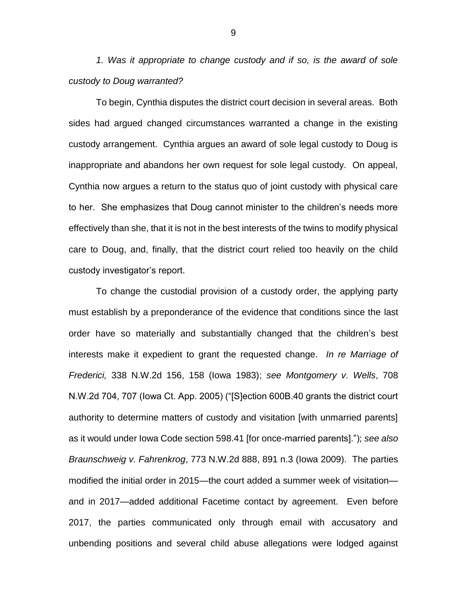*1. Was it appropriate to change custody and if so, is the award of sole custody to Doug warranted?*

To begin, Cynthia disputes the district court decision in several areas. Both sides had argued changed circumstances warranted a change in the existing custody arrangement. Cynthia argues an award of sole legal custody to Doug is inappropriate and abandons her own request for sole legal custody. On appeal, Cynthia now argues a return to the status quo of joint custody with physical care to her. She emphasizes that Doug cannot minister to the children's needs more effectively than she, that it is not in the best interests of the twins to modify physical care to Doug, and, finally, that the district court relied too heavily on the child custody investigator's report.

To change the custodial provision of a custody order, the applying party must establish by a preponderance of the evidence that conditions since the last order have so materially and substantially changed that the children's best interests make it expedient to grant the requested change. *In re Marriage of Frederici,* 338 N.W.2d 156, 158 (Iowa 1983); *see Montgomery v. Wells*, 708 N.W.2d 704, 707 (Iowa Ct. App. 2005) ("[S]ection 600B.40 grants the district court authority to determine matters of custody and visitation [with unmarried parents] as it would under Iowa Code section 598.41 [for once-married parents]."); *see also Braunschweig v. Fahrenkrog*, 773 N.W.2d 888, 891 n.3 (Iowa 2009). The parties modified the initial order in 2015—the court added a summer week of visitation and in 2017—added additional Facetime contact by agreement. Even before 2017, the parties communicated only through email with accusatory and unbending positions and several child abuse allegations were lodged against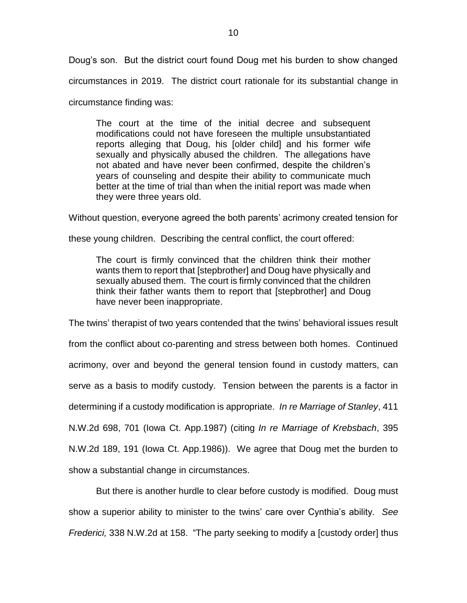Doug's son. But the district court found Doug met his burden to show changed circumstances in 2019. The district court rationale for its substantial change in

circumstance finding was:

The court at the time of the initial decree and subsequent modifications could not have foreseen the multiple unsubstantiated reports alleging that Doug, his [older child] and his former wife sexually and physically abused the children. The allegations have not abated and have never been confirmed, despite the children's years of counseling and despite their ability to communicate much better at the time of trial than when the initial report was made when they were three years old.

Without question, everyone agreed the both parents' acrimony created tension for

these young children. Describing the central conflict, the court offered:

The court is firmly convinced that the children think their mother wants them to report that [stepbrother] and Doug have physically and sexually abused them. The court is firmly convinced that the children think their father wants them to report that [stepbrother] and Doug have never been inappropriate.

The twins' therapist of two years contended that the twins' behavioral issues result from the conflict about co-parenting and stress between both homes. Continued acrimony, over and beyond the general tension found in custody matters, can serve as a basis to modify custody. Tension between the parents is a factor in determining if a custody modification is appropriate. *In re Marriage of Stanley*, 411 N.W.2d 698, 701 (Iowa Ct. App.1987) (citing *In re Marriage of Krebsbach*, 395 N.W.2d 189, 191 (Iowa Ct. App.1986)). We agree that Doug met the burden to show a substantial change in circumstances.

But there is another hurdle to clear before custody is modified. Doug must show a superior ability to minister to the twins' care over Cynthia's ability. *See Frederici,* 338 N.W.2d at 158. "The party seeking to modify a [custody order] thus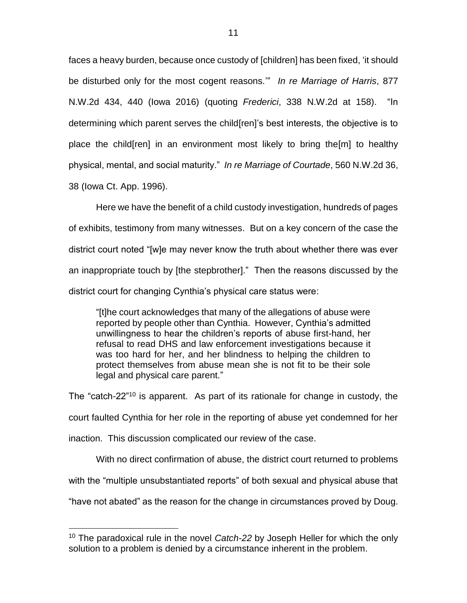faces a heavy burden, because once custody of [children] has been fixed, 'it should be disturbed only for the most cogent reasons.'" *In re Marriage of Harris*, 877 N.W.2d 434, 440 (Iowa 2016) (quoting *Frederici*, 338 N.W.2d at 158). "In determining which parent serves the child[ren]'s best interests, the objective is to place the child[ren] in an environment most likely to bring the[m] to healthy physical, mental, and social maturity." *In re Marriage of Courtade*, 560 N.W.2d 36, 38 (Iowa Ct. App. 1996).

Here we have the benefit of a child custody investigation, hundreds of pages of exhibits, testimony from many witnesses. But on a key concern of the case the district court noted "[w]e may never know the truth about whether there was ever an inappropriate touch by [the stepbrother]." Then the reasons discussed by the district court for changing Cynthia's physical care status were:

"[t]he court acknowledges that many of the allegations of abuse were reported by people other than Cynthia. However, Cynthia's admitted unwillingness to hear the children's reports of abuse first-hand, her refusal to read DHS and law enforcement investigations because it was too hard for her, and her blindness to helping the children to protect themselves from abuse mean she is not fit to be their sole legal and physical care parent."

The "catch-22"<sup>10</sup> is apparent. As part of its rationale for change in custody, the court faulted Cynthia for her role in the reporting of abuse yet condemned for her inaction. This discussion complicated our review of the case.

With no direct confirmation of abuse, the district court returned to problems

with the "multiple unsubstantiated reports" of both sexual and physical abuse that

"have not abated" as the reason for the change in circumstances proved by Doug.

<sup>10</sup> The paradoxical rule in the novel *Catch-22* by Joseph Heller for which the only solution to a problem is denied by a circumstance inherent in the problem.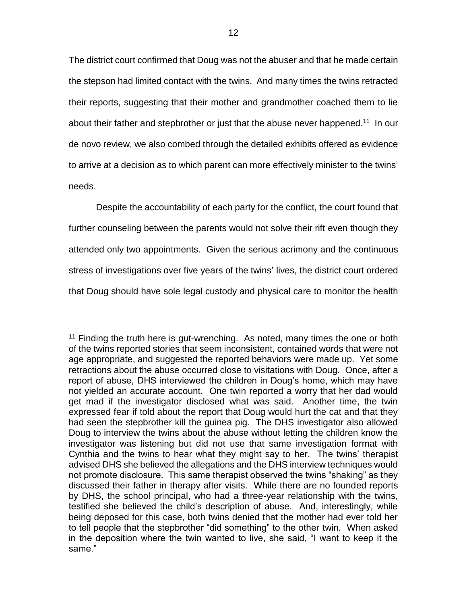The district court confirmed that Doug was not the abuser and that he made certain the stepson had limited contact with the twins. And many times the twins retracted their reports, suggesting that their mother and grandmother coached them to lie about their father and stepbrother or just that the abuse never happened.<sup>11</sup> In our de novo review, we also combed through the detailed exhibits offered as evidence to arrive at a decision as to which parent can more effectively minister to the twins' needs.

Despite the accountability of each party for the conflict, the court found that further counseling between the parents would not solve their rift even though they attended only two appointments. Given the serious acrimony and the continuous stress of investigations over five years of the twins' lives, the district court ordered that Doug should have sole legal custody and physical care to monitor the health

 $11$  Finding the truth here is gut-wrenching. As noted, many times the one or both of the twins reported stories that seem inconsistent, contained words that were not age appropriate, and suggested the reported behaviors were made up. Yet some retractions about the abuse occurred close to visitations with Doug. Once, after a report of abuse, DHS interviewed the children in Doug's home, which may have not yielded an accurate account. One twin reported a worry that her dad would get mad if the investigator disclosed what was said. Another time, the twin expressed fear if told about the report that Doug would hurt the cat and that they had seen the stepbrother kill the guinea pig. The DHS investigator also allowed Doug to interview the twins about the abuse without letting the children know the investigator was listening but did not use that same investigation format with Cynthia and the twins to hear what they might say to her. The twins' therapist advised DHS she believed the allegations and the DHS interview techniques would not promote disclosure. This same therapist observed the twins "shaking" as they discussed their father in therapy after visits. While there are no founded reports by DHS, the school principal, who had a three-year relationship with the twins, testified she believed the child's description of abuse. And, interestingly, while being deposed for this case, both twins denied that the mother had ever told her to tell people that the stepbrother "did something" to the other twin. When asked in the deposition where the twin wanted to live, she said, "I want to keep it the same."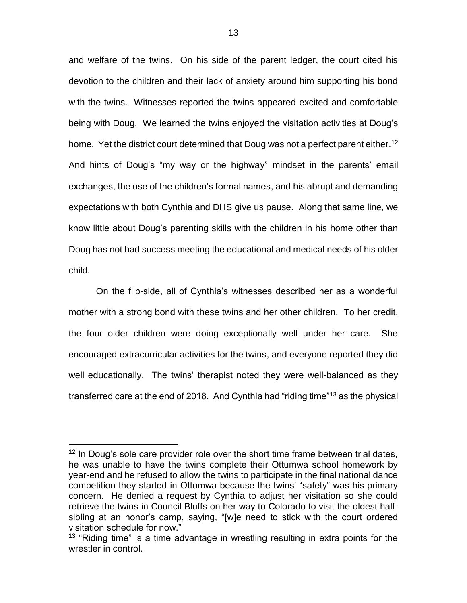and welfare of the twins. On his side of the parent ledger, the court cited his devotion to the children and their lack of anxiety around him supporting his bond with the twins. Witnesses reported the twins appeared excited and comfortable being with Doug. We learned the twins enjoyed the visitation activities at Doug's home. Yet the district court determined that Doug was not a perfect parent either.<sup>12</sup> And hints of Doug's "my way or the highway" mindset in the parents' email exchanges, the use of the children's formal names, and his abrupt and demanding expectations with both Cynthia and DHS give us pause. Along that same line, we know little about Doug's parenting skills with the children in his home other than Doug has not had success meeting the educational and medical needs of his older child.

On the flip-side, all of Cynthia's witnesses described her as a wonderful mother with a strong bond with these twins and her other children. To her credit, the four older children were doing exceptionally well under her care. She encouraged extracurricular activities for the twins, and everyone reported they did well educationally. The twins' therapist noted they were well-balanced as they transferred care at the end of 2018. And Cynthia had "riding time"<sup>13</sup> as the physical

<sup>&</sup>lt;sup>12</sup> In Doug's sole care provider role over the short time frame between trial dates, he was unable to have the twins complete their Ottumwa school homework by year-end and he refused to allow the twins to participate in the final national dance competition they started in Ottumwa because the twins' "safety" was his primary concern. He denied a request by Cynthia to adjust her visitation so she could retrieve the twins in Council Bluffs on her way to Colorado to visit the oldest halfsibling at an honor's camp, saying, "[w]e need to stick with the court ordered visitation schedule for now."

 $13$  "Riding time" is a time advantage in wrestling resulting in extra points for the wrestler in control.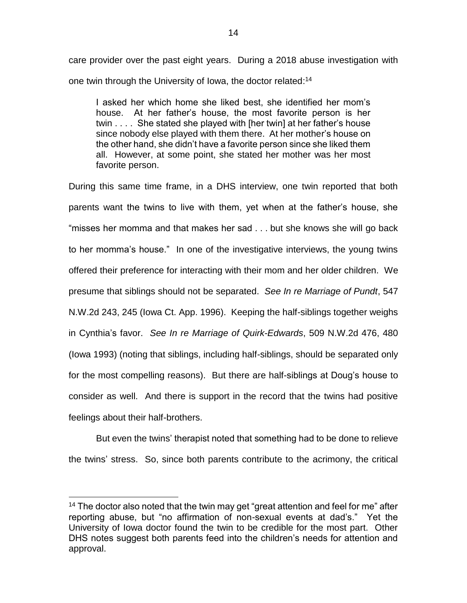care provider over the past eight years. During a 2018 abuse investigation with one twin through the University of Iowa, the doctor related:<sup>14</sup>

I asked her which home she liked best, she identified her mom's house. At her father's house, the most favorite person is her twin . . . . She stated she played with [her twin] at her father's house since nobody else played with them there. At her mother's house on the other hand, she didn't have a favorite person since she liked them all. However, at some point, she stated her mother was her most favorite person.

During this same time frame, in a DHS interview, one twin reported that both parents want the twins to live with them, yet when at the father's house, she "misses her momma and that makes her sad . . . but she knows she will go back to her momma's house." In one of the investigative interviews, the young twins offered their preference for interacting with their mom and her older children. We presume that siblings should not be separated. *See In re Marriage of Pundt*, 547 N.W.2d 243, 245 (Iowa Ct. App. 1996). Keeping the half-siblings together weighs in Cynthia's favor. *See In re Marriage of Quirk-Edwards*, 509 N.W.2d 476, 480 (Iowa 1993) (noting that siblings, including half-siblings, should be separated only for the most compelling reasons). But there are half-siblings at Doug's house to consider as well. And there is support in the record that the twins had positive feelings about their half-brothers.

But even the twins' therapist noted that something had to be done to relieve the twins' stress. So, since both parents contribute to the acrimony, the critical

<sup>&</sup>lt;sup>14</sup> The doctor also noted that the twin may get "great attention and feel for me" after reporting abuse, but "no affirmation of non-sexual events at dad's." Yet the University of Iowa doctor found the twin to be credible for the most part. Other DHS notes suggest both parents feed into the children's needs for attention and approval.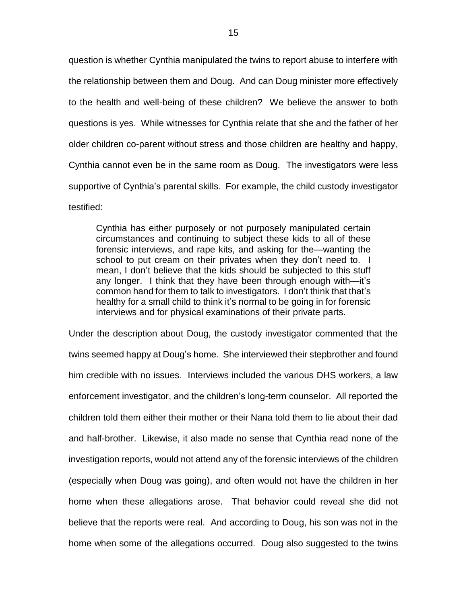question is whether Cynthia manipulated the twins to report abuse to interfere with the relationship between them and Doug. And can Doug minister more effectively to the health and well-being of these children? We believe the answer to both questions is yes. While witnesses for Cynthia relate that she and the father of her older children co-parent without stress and those children are healthy and happy, Cynthia cannot even be in the same room as Doug. The investigators were less supportive of Cynthia's parental skills. For example, the child custody investigator testified:

Cynthia has either purposely or not purposely manipulated certain circumstances and continuing to subject these kids to all of these forensic interviews, and rape kits, and asking for the—wanting the school to put cream on their privates when they don't need to. I mean, I don't believe that the kids should be subjected to this stuff any longer. I think that they have been through enough with—it's common hand for them to talk to investigators. I don't think that that's healthy for a small child to think it's normal to be going in for forensic interviews and for physical examinations of their private parts.

Under the description about Doug, the custody investigator commented that the twins seemed happy at Doug's home. She interviewed their stepbrother and found him credible with no issues. Interviews included the various DHS workers, a law enforcement investigator, and the children's long-term counselor. All reported the children told them either their mother or their Nana told them to lie about their dad and half-brother. Likewise, it also made no sense that Cynthia read none of the investigation reports, would not attend any of the forensic interviews of the children (especially when Doug was going), and often would not have the children in her home when these allegations arose. That behavior could reveal she did not believe that the reports were real. And according to Doug, his son was not in the home when some of the allegations occurred. Doug also suggested to the twins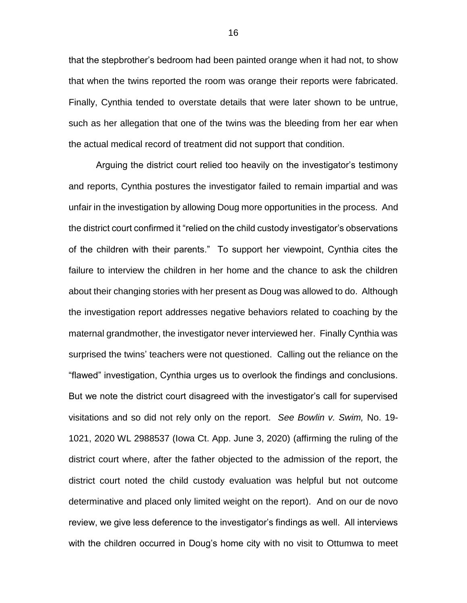that the stepbrother's bedroom had been painted orange when it had not, to show that when the twins reported the room was orange their reports were fabricated. Finally, Cynthia tended to overstate details that were later shown to be untrue, such as her allegation that one of the twins was the bleeding from her ear when the actual medical record of treatment did not support that condition.

Arguing the district court relied too heavily on the investigator's testimony and reports, Cynthia postures the investigator failed to remain impartial and was unfair in the investigation by allowing Doug more opportunities in the process. And the district court confirmed it "relied on the child custody investigator's observations of the children with their parents." To support her viewpoint, Cynthia cites the failure to interview the children in her home and the chance to ask the children about their changing stories with her present as Doug was allowed to do. Although the investigation report addresses negative behaviors related to coaching by the maternal grandmother, the investigator never interviewed her. Finally Cynthia was surprised the twins' teachers were not questioned. Calling out the reliance on the "flawed" investigation, Cynthia urges us to overlook the findings and conclusions. But we note the district court disagreed with the investigator's call for supervised visitations and so did not rely only on the report. *See Bowlin v. Swim,* No. 19- 1021, 2020 WL 2988537 (Iowa Ct. App. June 3, 2020) (affirming the ruling of the district court where, after the father objected to the admission of the report, the district court noted the child custody evaluation was helpful but not outcome determinative and placed only limited weight on the report). And on our de novo review, we give less deference to the investigator's findings as well. All interviews with the children occurred in Doug's home city with no visit to Ottumwa to meet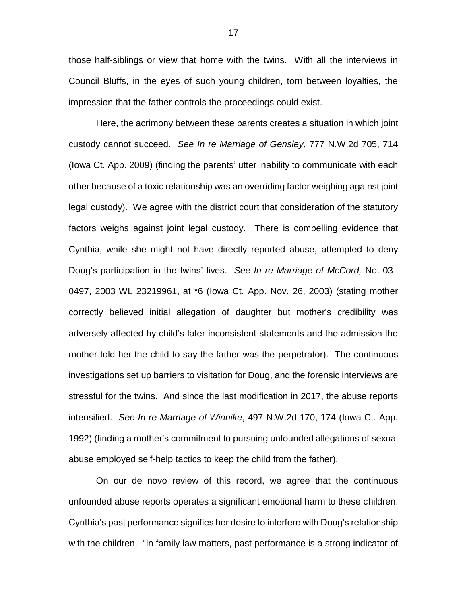those half-siblings or view that home with the twins. With all the interviews in Council Bluffs, in the eyes of such young children, torn between loyalties, the impression that the father controls the proceedings could exist.

Here, the acrimony between these parents creates a situation in which joint custody cannot succeed. *See In re Marriage of Gensley*, 777 N.W.2d 705, 714 (Iowa Ct. App. 2009) (finding the parents' utter inability to communicate with each other because of a toxic relationship was an overriding factor weighing against joint legal custody). We agree with the district court that consideration of the statutory factors weighs against joint legal custody. There is compelling evidence that Cynthia, while she might not have directly reported abuse, attempted to deny Doug's participation in the twins' lives. *See In re Marriage of McCord,* No. 03– 0497, 2003 WL 23219961, at \*6 (Iowa Ct. App. Nov. 26, 2003) (stating mother correctly believed initial allegation of daughter but mother's credibility was adversely affected by child's later inconsistent statements and the admission the mother told her the child to say the father was the perpetrator). The continuous investigations set up barriers to visitation for Doug, and the forensic interviews are stressful for the twins. And since the last modification in 2017, the abuse reports intensified. *See In re Marriage of Winnike*, 497 N.W.2d 170, 174 (Iowa Ct. App. 1992) (finding a mother's commitment to pursuing unfounded allegations of sexual abuse employed self-help tactics to keep the child from the father).

On our de novo review of this record, we agree that the continuous unfounded abuse reports operates a significant emotional harm to these children. Cynthia's past performance signifies her desire to interfere with Doug's relationship with the children. "In family law matters, past performance is a strong indicator of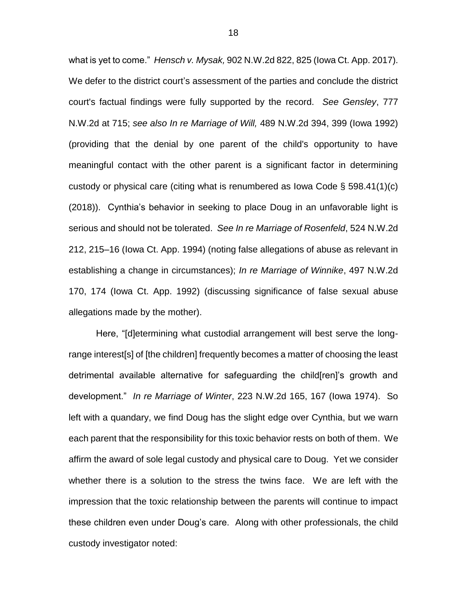what is yet to come." *Hensch v. Mysak,* 902 N.W.2d 822, 825 (Iowa Ct. App. 2017). We defer to the district court's assessment of the parties and conclude the district court's factual findings were fully supported by the record. *See Gensley*, 777 N.W.2d at 715; *see also In re Marriage of Will,* 489 N.W.2d 394, 399 (Iowa 1992) (providing that the denial by one parent of the child's opportunity to have meaningful contact with the other parent is a significant factor in determining custody or physical care (citing what is renumbered as Iowa Code § 598.41(1)(c) (2018)). Cynthia's behavior in seeking to place Doug in an unfavorable light is serious and should not be tolerated. *See In re Marriage of Rosenfeld*, 524 N.W.2d 212, 215–16 (Iowa Ct. App. 1994) (noting false allegations of abuse as relevant in establishing a change in circumstances); *In re Marriage of Winnike*, 497 N.W.2d 170, 174 (Iowa Ct. App. 1992) (discussing significance of false sexual abuse allegations made by the mother).

Here, "[d]etermining what custodial arrangement will best serve the longrange interest[s] of [the children] frequently becomes a matter of choosing the least detrimental available alternative for safeguarding the child[ren]'s growth and development." *In re Marriage of Winter*, 223 N.W.2d 165, 167 (Iowa 1974). So left with a quandary, we find Doug has the slight edge over Cynthia, but we warn each parent that the responsibility for this toxic behavior rests on both of them. We affirm the award of sole legal custody and physical care to Doug. Yet we consider whether there is a solution to the stress the twins face. We are left with the impression that the toxic relationship between the parents will continue to impact these children even under Doug's care. Along with other professionals, the child custody investigator noted: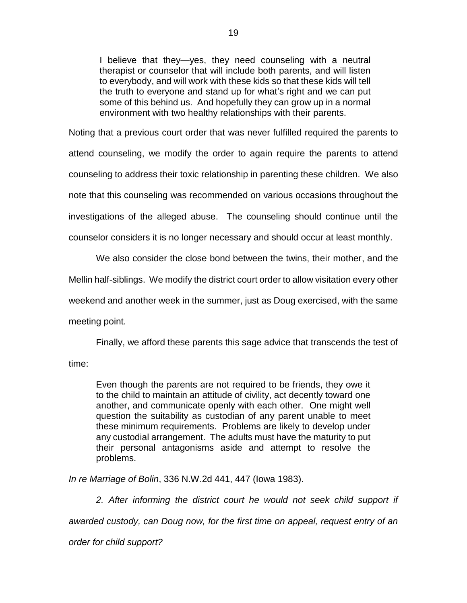I believe that they—yes, they need counseling with a neutral therapist or counselor that will include both parents, and will listen to everybody, and will work with these kids so that these kids will tell the truth to everyone and stand up for what's right and we can put some of this behind us. And hopefully they can grow up in a normal environment with two healthy relationships with their parents.

Noting that a previous court order that was never fulfilled required the parents to attend counseling, we modify the order to again require the parents to attend counseling to address their toxic relationship in parenting these children. We also note that this counseling was recommended on various occasions throughout the investigations of the alleged abuse. The counseling should continue until the counselor considers it is no longer necessary and should occur at least monthly.

We also consider the close bond between the twins, their mother, and the

Mellin half-siblings. We modify the district court order to allow visitation every other

weekend and another week in the summer, just as Doug exercised, with the same

meeting point.

Finally, we afford these parents this sage advice that transcends the test of

time:

Even though the parents are not required to be friends, they owe it to the child to maintain an attitude of civility, act decently toward one another, and communicate openly with each other. One might well question the suitability as custodian of any parent unable to meet these minimum requirements. Problems are likely to develop under any custodial arrangement. The adults must have the maturity to put their personal antagonisms aside and attempt to resolve the problems.

*In re Marriage of Bolin*, 336 N.W.2d 441, 447 (Iowa 1983).

2. After informing the district court he would not seek child support if

*awarded custody, can Doug now, for the first time on appeal, request entry of an* 

*order for child support?*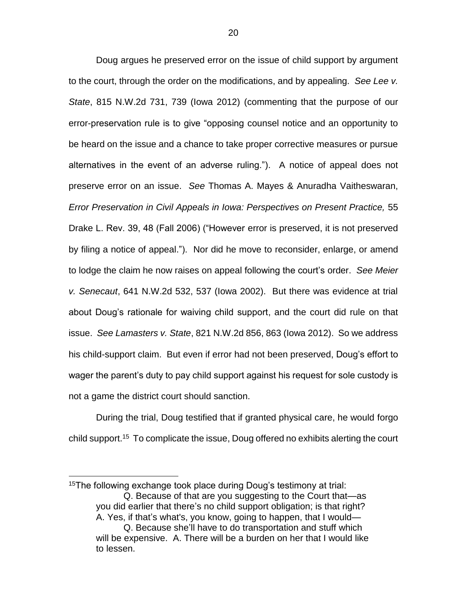Doug argues he preserved error on the issue of child support by argument to the court, through the order on the modifications, and by appealing. *See Lee v. State*, 815 N.W.2d 731, 739 (Iowa 2012) (commenting that the purpose of our error-preservation rule is to give "opposing counsel notice and an opportunity to be heard on the issue and a chance to take proper corrective measures or pursue alternatives in the event of an adverse ruling."). A notice of appeal does not preserve error on an issue. *See* Thomas A. Mayes & Anuradha Vaitheswaran, *Error Preservation in Civil Appeals in Iowa: Perspectives on Present Practice,* 55 Drake L. Rev. 39, 48 (Fall 2006) ("However error is preserved, it is not preserved by filing a notice of appeal."). Nor did he move to reconsider, enlarge, or amend to lodge the claim he now raises on appeal following the court's order. *See Meier v. Senecaut*, 641 N.W.2d 532, 537 (Iowa 2002). But there was evidence at trial about Doug's rationale for waiving child support, and the court did rule on that issue. *See Lamasters v. State*, 821 N.W.2d 856, 863 (Iowa 2012). So we address his child-support claim. But even if error had not been preserved, Doug's effort to wager the parent's duty to pay child support against his request for sole custody is not a game the district court should sanction.

During the trial, Doug testified that if granted physical care, he would forgo child support.<sup>15</sup> To complicate the issue, Doug offered no exhibits alerting the court

<sup>15</sup>The following exchange took place during Doug's testimony at trial: Q. Because of that are you suggesting to the Court that—as you did earlier that there's no child support obligation; is that right? A. Yes, if that's what's, you know, going to happen, that I would— Q. Because she'll have to do transportation and stuff which will be expensive. A. There will be a burden on her that I would like to lessen.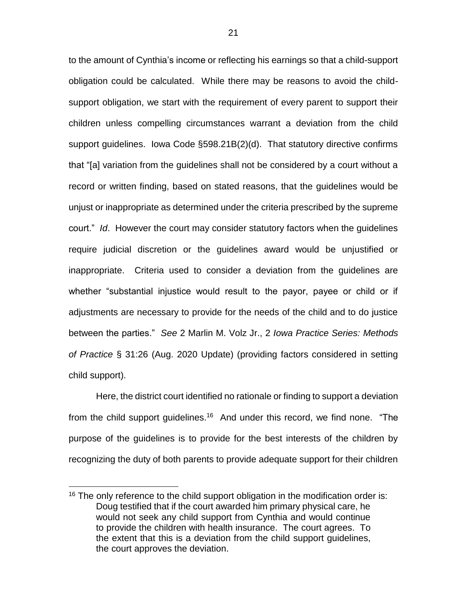to the amount of Cynthia's income or reflecting his earnings so that a child-support obligation could be calculated. While there may be reasons to avoid the childsupport obligation, we start with the requirement of every parent to support their children unless compelling circumstances warrant a deviation from the child support guidelines. Iowa Code §598.21B(2)(d). That statutory directive confirms that "[a] variation from the guidelines shall not be considered by a court without a record or written finding, based on stated reasons, that the guidelines would be unjust or inappropriate as determined under the criteria prescribed by the supreme court." *Id*. However the court may consider statutory factors when the guidelines require judicial discretion or the guidelines award would be unjustified or inappropriate. Criteria used to consider a deviation from the guidelines are whether "substantial injustice would result to the payor, payee or child or if adjustments are necessary to provide for the needs of the child and to do justice between the parties." *See* 2 Marlin M. Volz Jr., 2 *Iowa Practice Series: Methods of Practice* § 31:26 (Aug. 2020 Update) (providing factors considered in setting child support).

Here, the district court identified no rationale or finding to support a deviation from the child support guidelines.<sup>16</sup> And under this record, we find none. "The purpose of the guidelines is to provide for the best interests of the children by recognizing the duty of both parents to provide adequate support for their children

<sup>&</sup>lt;sup>16</sup> The only reference to the child support obligation in the modification order is: Doug testified that if the court awarded him primary physical care, he would not seek any child support from Cynthia and would continue to provide the children with health insurance. The court agrees. To the extent that this is a deviation from the child support guidelines, the court approves the deviation.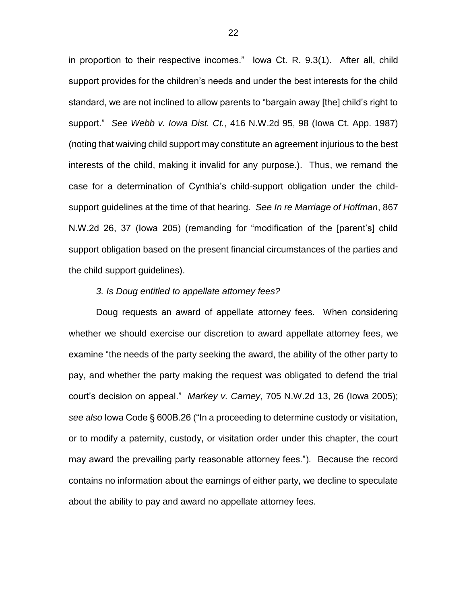in proportion to their respective incomes." Iowa Ct. R. 9.3(1). After all, child support provides for the children's needs and under the best interests for the child standard, we are not inclined to allow parents to "bargain away [the] child's right to support." *See Webb v. Iowa Dist. Ct.*, 416 N.W.2d 95, 98 (Iowa Ct. App. 1987) (noting that waiving child support may constitute an agreement injurious to the best interests of the child, making it invalid for any purpose.). Thus, we remand the case for a determination of Cynthia's child-support obligation under the childsupport guidelines at the time of that hearing. *See In re Marriage of Hoffman*, 867 N.W.2d 26, 37 (Iowa 205) (remanding for "modification of the [parent's] child support obligation based on the present financial circumstances of the parties and the child support guidelines).

#### *3. Is Doug entitled to appellate attorney fees?*

Doug requests an award of appellate attorney fees. When considering whether we should exercise our discretion to award appellate attorney fees, we examine "the needs of the party seeking the award, the ability of the other party to pay, and whether the party making the request was obligated to defend the trial court's decision on appeal." *Markey v. Carney*, 705 N.W.2d 13, 26 (Iowa 2005); *see also* Iowa Code § 600B.26 ("In a proceeding to determine custody or visitation, or to modify a paternity, custody, or visitation order under this chapter, the court may award the prevailing party reasonable attorney fees."). Because the record contains no information about the earnings of either party, we decline to speculate about the ability to pay and award no appellate attorney fees.